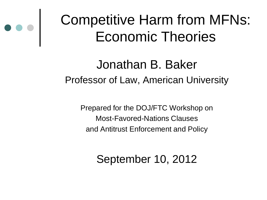

### Competitive Harm from MFNs: Economic Theories

#### Jonathan B. Baker Professor of Law, American University

Prepared for the DOJ/FTC Workshop on Most-Favored-Nations Clauses and Antitrust Enforcement and Policy

September 10, 2012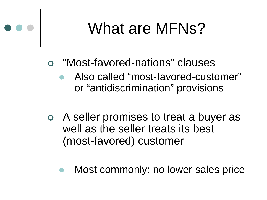### What are MFNs?

#### "Most-favored-nations" clauses

- Also called "most-favored-customer" or "antidiscrimination" provisions
- A seller promises to treat a buyer as well as the seller treats its best (most-favored) customer
	- Most commonly: no lower sales price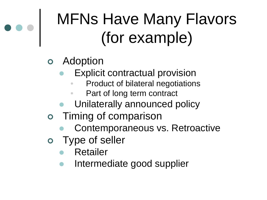## MFNs Have Many Flavors (for example)

- Adoption
	- Explicit contractual provision
		- Product of bilateral negotiations
		- Part of long term contract
	- Unilaterally announced policy
- Timing of comparison
	- Contemporaneous vs. Retroactive
- Type of seller
	- Retailer
	- Intermediate good supplier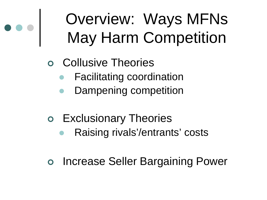# Overview: Ways MFNs May Harm Competition

- Collusive Theories
	- Facilitating coordination
	- Dampening competition
- Exclusionary Theories
	- Raising rivals'/entrants' costs
- o Increase Seller Bargaining Power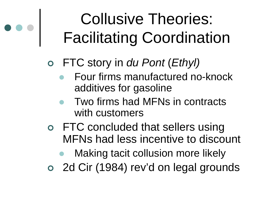## Collusive Theories: Facilitating Coordination

FTC story in *du Pont* (*Ethyl)*

- Four firms manufactured no-knock additives for gasoline
- Two firms had MFNs in contracts with customers
- FTC concluded that sellers using MFNs had less incentive to discount
	- Making tacit collusion more likely
- 2d Cir (1984) rev'd on legal grounds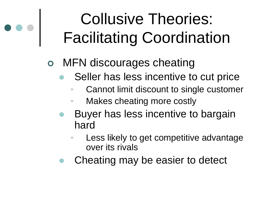## Collusive Theories: Facilitating Coordination

#### MFN discourages cheating

- Seller has less incentive to cut price
	- Cannot limit discount to single customer
	- Makes cheating more costly
- Buyer has less incentive to bargain hard
	- Less likely to get competitive advantage over its rivals
- Cheating may be easier to detect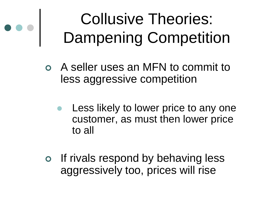## Collusive Theories: Dampening Competition

- A seller uses an MFN to commit to less aggressive competition
	- Less likely to lower price to any one customer, as must then lower price to all
- o If rivals respond by behaving less aggressively too, prices will rise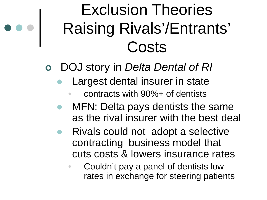### Exclusion Theories Raising Rivals'/Entrants' Costs

- DOJ story in *Delta Dental of RI*
	- Largest dental insurer in state
		- contracts with 90%+ of dentists
	- MFN: Delta pays dentists the same as the rival insurer with the best deal
	- Rivals could not adopt a selective contracting business model that cuts costs & lowers insurance rates
		- Couldn't pay a panel of dentists low rates in exchange for steering patients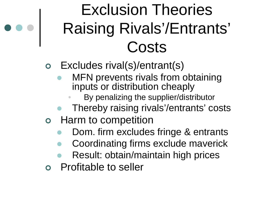### Exclusion Theories Raising Rivals'/Entrants' Costs

- Excludes rival(s)/entrant(s)
	- MFN prevents rivals from obtaining inputs or distribution cheaply
		- By penalizing the supplier/distributor
	- Thereby raising rivals'/entrants' costs
- Harm to competition
	- Dom. firm excludes fringe & entrants
	- Coordinating firms exclude maverick
	- Result: obtain/maintain high prices
- Profitable to seller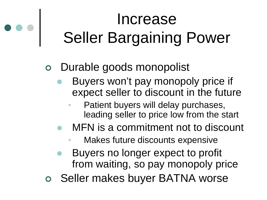## Increase Seller Bargaining Power

#### Durable goods monopolist

- Buyers won't pay monopoly price if expect seller to discount in the future
	- Patient buyers will delay purchases, leading seller to price low from the start
- MFN is a commitment not to discount
	- Makes future discounts expensive
- Buyers no longer expect to profit from waiting, so pay monopoly price
- o Seller makes buyer BATNA worse